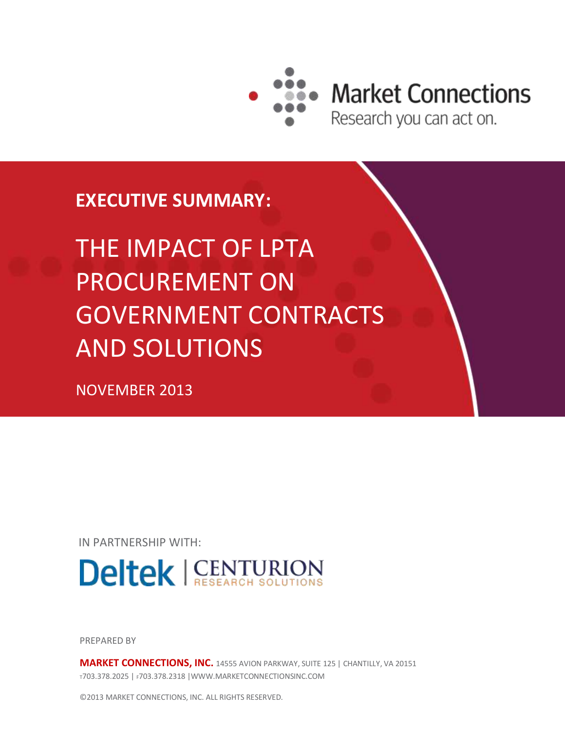

**Market Connections** 

Research you can act on.

# **EXECUTIVE SUMMARY:**

# THE IMPACT OF LPTA PROCUREMENT ON GOVERNMENT CONTRACTS AND SOLUTIONS

NOVEMBER 2013

IN PARTNERSHIP WITH:



PREPARED BY

**MARKET CONNECTIONS, INC.** 14555 AVION PARKWAY, SUITE 125 | CHANTILLY, VA 20151 <sup>T</sup>703.378.2025 | F703.378.2318 |WWW.MARKETCONNECTIONSINC.COM

©2013 MARKET CONNECTIONS, INC. ALL RIGHTS RESERVED.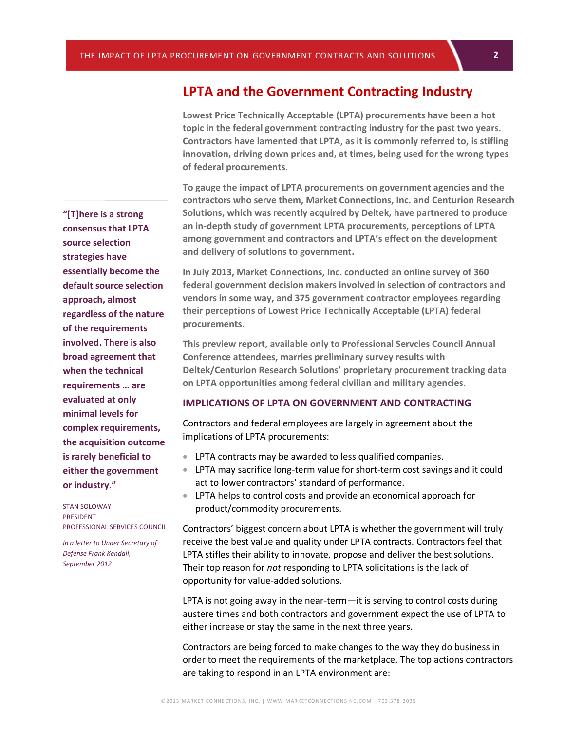## **LPTA and the Government Contracting Industry**

**Lowest Price Technically Acceptable (LPTA) procurements have been a hot topic in the federal government contracting industry for the past two years. Contractors have lamented that LPTA, as it is commonly referred to, is stifling innovation, driving down prices and, at times, being used for the wrong types of federal procurements.** 

**To gauge the impact of LPTA procurements on government agencies and the contractors who serve them, Market Connections, Inc. and Centurion Research Solutions, which was recently acquired by Deltek, have partnered to produce an in-depth study of government LPTA procurements, perceptions of LPTA among government and contractors and LPTA's effect on the development and delivery of solutions to government.**

**In July 2013, Market Connections, Inc. conducted an online survey of 360 federal government decision makers involved in selection of contractors and vendors in some way, and 375 government contractor employees regarding their perceptions of Lowest Price Technically Acceptable (LPTA) federal procurements.**

**This preview report, available only to Professional Servcies Council Annual Conference attendees, marries preliminary survey results with Deltek/Centurion Research Solutions' proprietary procurement tracking data on LPTA opportunities among federal civilian and military agencies.**

#### **IMPLICATIONS OF LPTA ON GOVERNMENT AND CONTRACTING**

Contractors and federal employees are largely in agreement about the implications of LPTA procurements:

- LPTA contracts may be awarded to less qualified companies.
- LPTA may sacrifice long-term value for short-term cost savings and it could act to lower contractors' standard of performance.
- LPTA helps to control costs and provide an economical approach for product/commodity procurements.

Contractors' biggest concern about LPTA is whether the government will truly receive the best value and quality under LPTA contracts. Contractors feel that LPTA stifles their ability to innovate, propose and deliver the best solutions. Their top reason for *not* responding to LPTA solicitations is the lack of opportunity for value-added solutions.

LPTA is not going away in the near-term—it is serving to control costs during austere times and both contractors and government expect the use of LPTA to either increase or stay the same in the next three years.

Contractors are being forced to make changes to the way they do business in order to meet the requirements of the marketplace. The top actions contractors are taking to respond in an LPTA environment are:

**"[T]here is a strong consensus that LPTA source selection strategies have essentially become the default source selection approach, almost regardless of the nature of the requirements involved. There is also broad agreement that when the technical requirements … are evaluated at only minimal levels for complex requirements, the acquisition outcome is rarely beneficial to either the government or industry."**

STAN SOLOWAY PRESIDENT PROFESSIONAL SERVICES COUNCIL

*In a letter to Under Secretary of Defense Frank Kendall, September 2012*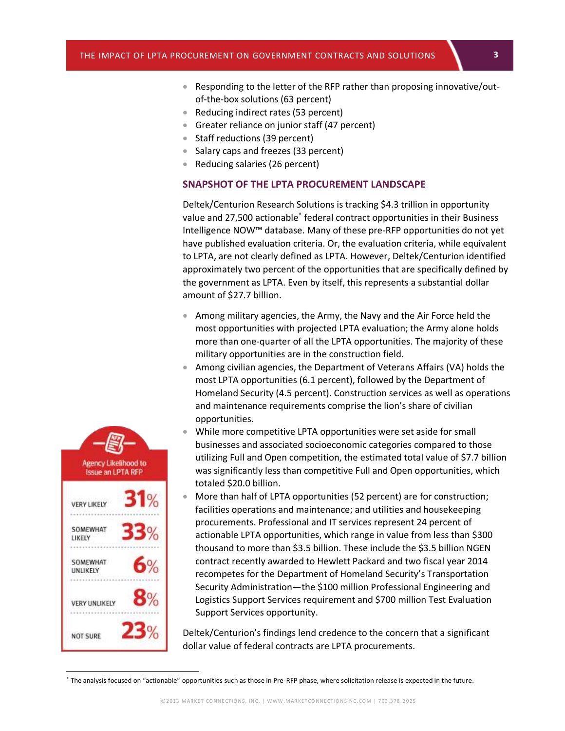- **3** Responding to the letter of the RFP rather than proposing innovative/outof-the-box solutions (63 percent)
- Reducing indirect rates (53 percent)
- Greater reliance on junior staff (47 percent)
- Staff reductions (39 percent)
- Salary caps and freezes (33 percent)
- Reducing salaries (26 percent)

#### **SNAPSHOT OF THE LPTA PROCUREMENT LANDSCAPE**

Deltek/Centurion Research Solutions is tracking \$4.3 trillion in opportunity value and 27,500 actionable<sup>\*</sup> federal contract opportunities in their Business Intelligence NOW™ database. Many of these pre-RFP opportunities do not yet have published evaluation criteria. Or, the evaluation criteria, while equivalent to LPTA, are not clearly defined as LPTA. However, Deltek/Centurion identified approximately two percent of the opportunities that are specifically defined by the government as LPTA. Even by itself, this represents a substantial dollar amount of \$27.7 billion.

- Among military agencies, the Army, the Navy and the Air Force held the most opportunities with projected LPTA evaluation; the Army alone holds more than one-quarter of all the LPTA opportunities. The majority of these military opportunities are in the construction field.
- Among civilian agencies, the Department of Veterans Affairs (VA) holds the most LPTA opportunities (6.1 percent), followed by the Department of Homeland Security (4.5 percent). Construction services as well as operations and maintenance requirements comprise the lion's share of civilian opportunities.
- While more competitive LPTA opportunities were set aside for small businesses and associated socioeconomic categories compared to those utilizing Full and Open competition, the estimated total value of \$7.7 billion was significantly less than competitive Full and Open opportunities, which totaled \$20.0 billion.
- More than half of LPTA opportunities (52 percent) are for construction; facilities operations and maintenance; and utilities and housekeeping procurements. Professional and IT services represent 24 percent of actionable LPTA opportunities, which range in value from less than \$300 thousand to more than \$3.5 billion. These include the \$3.5 billion NGEN contract recently awarded to Hewlett Packard and two fiscal year 2014 recompetes for the Department of Homeland Security's Transportation Security Administration—the \$100 million Professional Engineering and Logistics Support Services requirement and \$700 million Test Evaluation Support Services opportunity.

Deltek/Centurion's findings lend credence to the concern that a significant dollar value of federal contracts are LPTA procurements.

Agency Likelihood to **Issue an LPTA RFP VERY LIKELY** SOMEWHAT LIKELY SOMEWHAT UNLIKELY **VERY UNLIKELY** 

 $\overline{a}$ 

**NOT SURE** 

<sup>\*</sup> The analysis focused on "actionable" opportunities such as those in Pre-RFP phase, where solicitation release is expected in the future.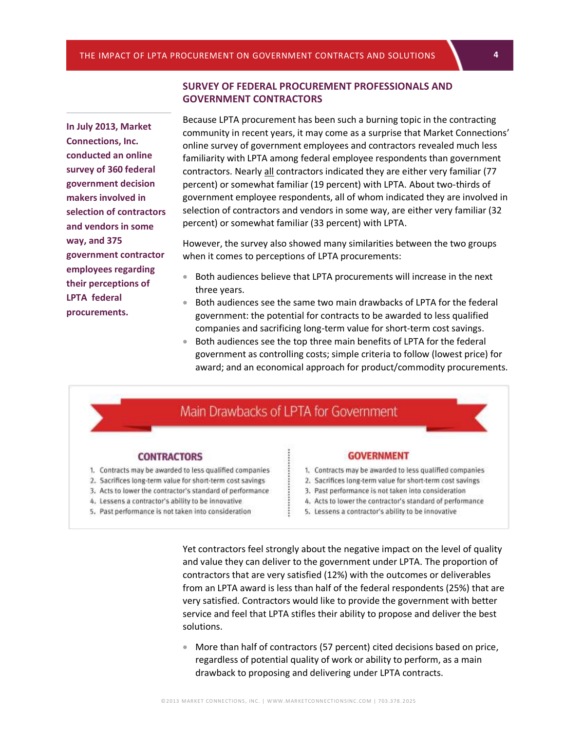**In July 2013, Market Connections, Inc. conducted an online survey of 360 federal government decision makers involved in selection of contractors and vendors in some way, and 375 government contractor employees regarding their perceptions of LPTA federal procurements.**

#### **SURVEY OF FEDERAL PROCUREMENT PROFESSIONALS AND GOVERNMENT CONTRACTORS**

Because LPTA procurement has been such a burning topic in the contracting community in recent years, it may come as a surprise that Market Connections' online survey of government employees and contractors revealed much less familiarity with LPTA among federal employee respondents than government contractors. Nearly all contractors indicated they are either very familiar (77 percent) or somewhat familiar (19 percent) with LPTA. About two-thirds of government employee respondents, all of whom indicated they are involved in selection of contractors and vendors in some way, are either very familiar (32 percent) or somewhat familiar (33 percent) with LPTA.

However, the survey also showed many similarities between the two groups when it comes to perceptions of LPTA procurements:

- **Both audiences believe that LPTA procurements will increase in the next** three years.
- Both audiences see the same two main drawbacks of LPTA for the federal government: the potential for contracts to be awarded to less qualified companies and sacrificing long-term value for short-term cost savings.
- Both audiences see the top three main benefits of LPTA for the federal government as controlling costs; simple criteria to follow (lowest price) for award; and an economical approach for product/commodity procurements.

### Main Drawbacks of LPTA for Government

#### **CONTRACTORS**

- 1. Contracts may be awarded to less qualified companies
- 2. Sacrifices long-term value for short-term cost savings
- 3. Acts to lower the contractor's standard of performance
- 4. Lessens a contractor's ability to be innovative
- 5. Past performance is not taken into consideration

#### **GOVERNMENT**

- 1. Contracts may be awarded to less qualified companies
- 2. Sacrifices long-term value for short-term cost savings
- 3. Past performance is not taken into consideration
- 4. Acts to lower the contractor's standard of performance
- 5. Lessens a contractor's ability to be innovative

Yet contractors feel strongly about the negative impact on the level of quality and value they can deliver to the government under LPTA. The proportion of contractors that are very satisfied (12%) with the outcomes or deliverables from an LPTA award is less than half of the federal respondents (25%) that are very satisfied. Contractors would like to provide the government with better service and feel that LPTA stifles their ability to propose and deliver the best solutions.

 More than half of contractors (57 percent) cited decisions based on price, regardless of potential quality of work or ability to perform, as a main drawback to proposing and delivering under LPTA contracts.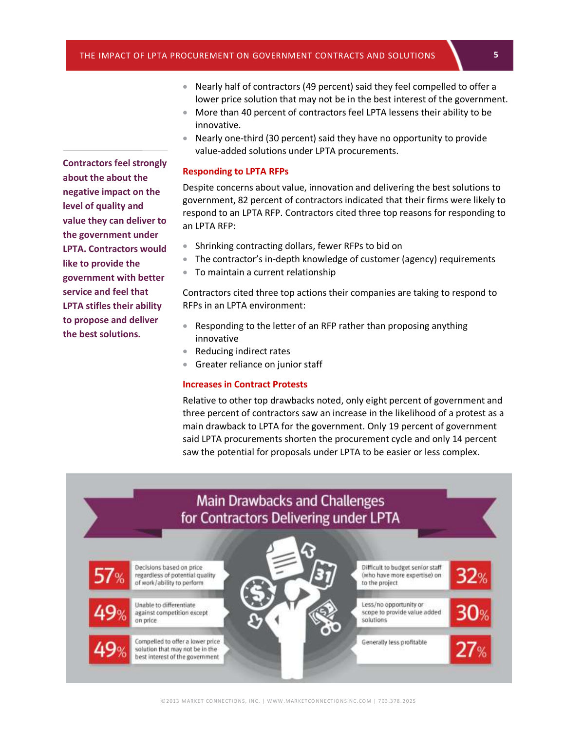- **5** Nearly half of contractors (49 percent) said they feel compelled to offer a lower price solution that may not be in the best interest of the government.
- More than 40 percent of contractors feel LPTA lessens their ability to be innovative.
- Nearly one-third (30 percent) said they have no opportunity to provide value-added solutions under LPTA procurements.

#### **Responding to LPTA RFPs**

Despite concerns about value, innovation and delivering the best solutions to government, 82 percent of contractors indicated that their firms were likely to respond to an LPTA RFP. Contractors cited three top reasons for responding to an LPTA RFP:

- Shrinking contracting dollars, fewer RFPs to bid on
- The contractor's in-depth knowledge of customer (agency) requirements
- To maintain a current relationship

Contractors cited three top actions their companies are taking to respond to RFPs in an LPTA environment:

- Responding to the letter of an RFP rather than proposing anything innovative
- Reducing indirect rates
- **Greater reliance on junior staff**

#### **Increases in Contract Protests**

Relative to other top drawbacks noted, only eight percent of government and three percent of contractors saw an increase in the likelihood of a protest as a main drawback to LPTA for the government. Only 19 percent of government said LPTA procurements shorten the procurement cycle and only 14 percent saw the potential for proposals under LPTA to be easier or less complex.



**Contractors feel strongly about the about the negative impact on the level of quality and value they can deliver to the government under LPTA. Contractors would like to provide the government with better service and feel that LPTA stifles their ability to propose and deliver the best solutions.**